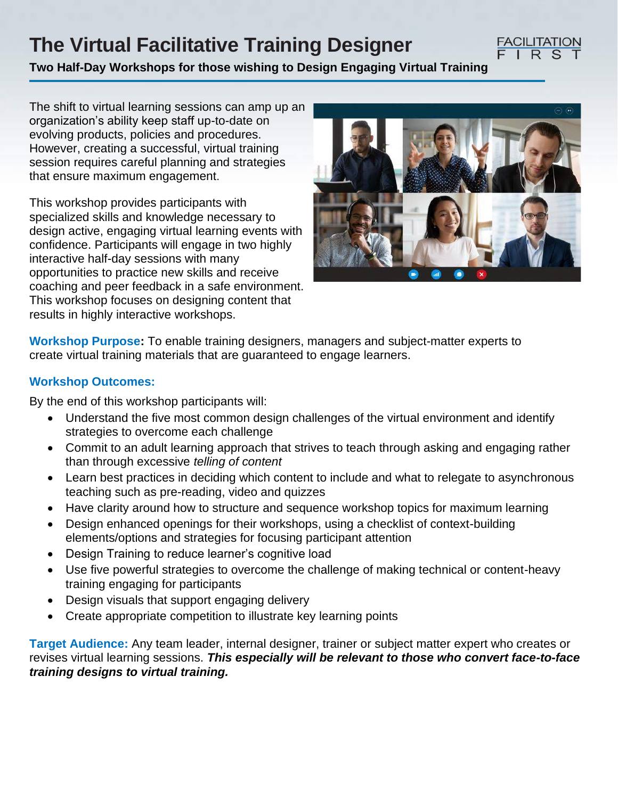# **The Virtual Facilitative Training Designer**

**Two Half-Day Workshops for those wishing to Design Engaging Virtual Training**

The shift to virtual learning sessions can amp up an organization's ability keep staff up-to-date on evolving products, policies and procedures. However, creating a successful, virtual training session requires careful planning and strategies that ensure maximum engagement.

This workshop provides participants with specialized skills and knowledge necessary to design active, engaging virtual learning events with confidence. Participants will engage in two highly interactive half-day sessions with many opportunities to practice new skills and receive coaching and peer feedback in a safe environment. This workshop focuses on designing content that results in highly interactive workshops.



**FACILITATION** FIRS

**Workshop Purpose:** To enable training designers, managers and subject-matter experts to create virtual training materials that are guaranteed to engage learners.

# **Workshop Outcomes:**

By the end of this workshop participants will:

- Understand the five most common design challenges of the virtual environment and identify strategies to overcome each challenge
- Commit to an adult learning approach that strives to teach through asking and engaging rather than through excessive *telling of content*
- Learn best practices in deciding which content to include and what to relegate to asynchronous teaching such as pre-reading, video and quizzes
- Have clarity around how to structure and sequence workshop topics for maximum learning
- Design enhanced openings for their workshops, using a checklist of context-building elements/options and strategies for focusing participant attention
- Design Training to reduce learner's cognitive load
- Use five powerful strategies to overcome the challenge of making technical or content-heavy training engaging for participants
- Design visuals that support engaging delivery
- Create appropriate competition to illustrate key learning points

**Target Audience:** Any team leader, internal designer, trainer or subject matter expert who creates or revises virtual learning sessions. *This especially will be relevant to those who convert face-to-face training designs to virtual training.*